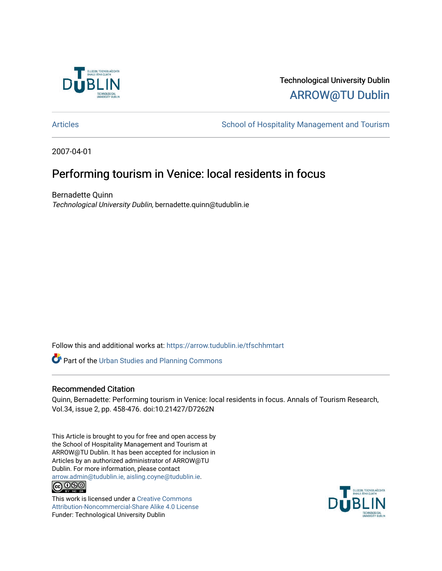

# Technological University Dublin [ARROW@TU Dublin](https://arrow.tudublin.ie/)

[Articles](https://arrow.tudublin.ie/tfschhmtart) **School of Hospitality Management and Tourism** 

2007-04-01

# Performing tourism in Venice: local residents in focus

Bernadette Quinn Technological University Dublin, bernadette.quinn@tudublin.ie

Follow this and additional works at: [https://arrow.tudublin.ie/tfschhmtart](https://arrow.tudublin.ie/tfschhmtart?utm_source=arrow.tudublin.ie%2Ftfschhmtart%2F3&utm_medium=PDF&utm_campaign=PDFCoverPages) 

Part of the [Urban Studies and Planning Commons](http://network.bepress.com/hgg/discipline/436?utm_source=arrow.tudublin.ie%2Ftfschhmtart%2F3&utm_medium=PDF&utm_campaign=PDFCoverPages)

# Recommended Citation

Quinn, Bernadette: Performing tourism in Venice: local residents in focus. Annals of Tourism Research, Vol.34, issue 2, pp. 458-476. doi:10.21427/D7262N

This Article is brought to you for free and open access by the School of Hospitality Management and Tourism at ARROW@TU Dublin. It has been accepted for inclusion in Articles by an authorized administrator of ARROW@TU Dublin. For more information, please contact [arrow.admin@tudublin.ie, aisling.coyne@tudublin.ie](mailto:arrow.admin@tudublin.ie,%20aisling.coyne@tudublin.ie). @000

This work is licensed under a [Creative Commons](http://creativecommons.org/licenses/by-nc-sa/4.0/) [Attribution-Noncommercial-Share Alike 4.0 License](http://creativecommons.org/licenses/by-nc-sa/4.0/) Funder: Technological University Dublin

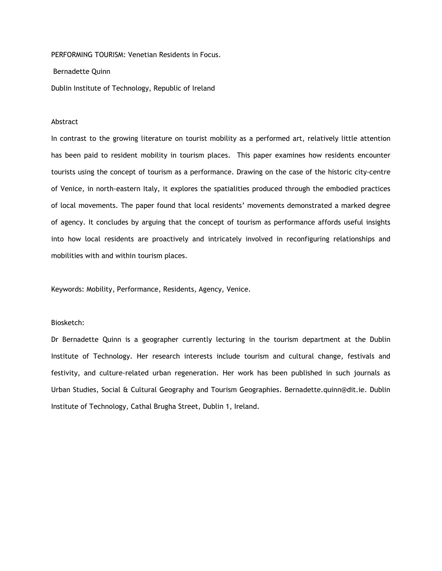PERFORMING TOURISM: Venetian Residents in Focus.

Bernadette Quinn

Dublin Institute of Technology, Republic of Ireland

#### Abstract

In contrast to the growing literature on tourist mobility as a performed art, relatively little attention has been paid to resident mobility in tourism places. This paper examines how residents encounter tourists using the concept of tourism as a performance. Drawing on the case of the historic city-centre of Venice, in north-eastern Italy, it explores the spatialities produced through the embodied practices of local movements. The paper found that local residents' movements demonstrated a marked degree of agency. It concludes by arguing that the concept of tourism as performance affords useful insights into how local residents are proactively and intricately involved in reconfiguring relationships and mobilities with and within tourism places.

Keywords: Mobility, Performance, Residents, Agency, Venice.

# Biosketch:

Dr Bernadette Quinn is a geographer currently lecturing in the tourism department at the Dublin Institute of Technology. Her research interests include tourism and cultural change, festivals and festivity, and culture-related urban regeneration. Her work has been published in such journals as Urban Studies, Social & Cultural Geography and Tourism Geographies. Bernadette.quinn@dit.ie. Dublin Institute of Technology, Cathal Brugha Street, Dublin 1, Ireland.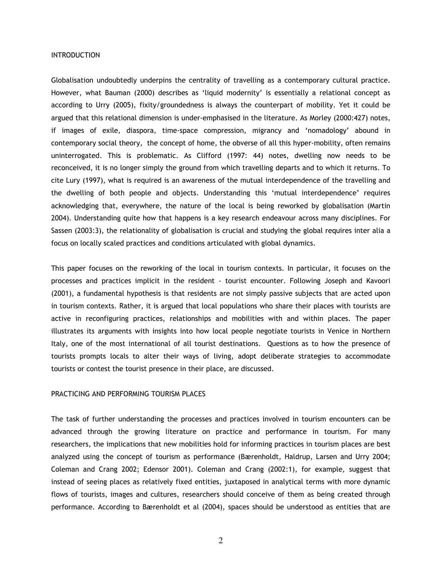#### INTRODUCTION

Globalisation undoubtedly underpins the centrality of travelling as a contemporary cultural practice. However, what Bauman (2000) describes as 'liquid modernity' is essentially a relational concept as according to Urry (2005), fixity/groundedness is always the counterpart of mobility. Yet it could be argued that this relational dimension is under-emphasised in the literature. As Morley (2000:427) notes, if images of exile, diaspora, time-space compression, migrancy and 'nomadology' abound in contemporary social theory, the concept of home, the obverse of all this hyper-mobility, often remains uninterrogated. This is problematic. As Clifford (1997: 44) notes, dwelling now needs to be reconceived, it is no longer simply the ground from which travelling departs and to which it returns. To cite Lury (1997), what is required is an awareness of the mutual interdependence of the travelling and the dwelling of both people and objects. Understanding this 'mutual interdependence' requires acknowledging that, everywhere, the nature of the local is being reworked by globalisation (Martin 2004). Understanding quite how that happens is a key research endeavour across many disciplines. For Sassen (2003:3), the relationality of globalisation is crucial and studying the global requires inter alia a focus on locally scaled practices and conditions articulated with global dynamics.

This paper focuses on the reworking of the local in tourism contexts. In particular, it focuses on the processes and practices implicit in the resident - tourist encounter. Following Joseph and Kavoori (2001), a fundamental hypothesis is that residents are not simply passive subjects that are acted upon in tourism contexts. Rather, it is argued that local populations who share their places with tourists are active in reconfiguring practices, relationships and mobilities with and within places. The paper illustrates its arguments with insights into how local people negotiate tourists in Venice in Northern Italy, one of the most international of all tourist destinations. Questions as to how the presence of tourists prompts locals to alter their ways of living, adopt deliberate strategies to accommodate tourists or contest the tourist presence in their place, are discussed.

#### PRACTICING AND PERFORMING TOURISM PLACES

The task of further understanding the processes and practices involved in tourism encounters can be advanced through the growing literature on practice and performance in tourism. For many researchers, the implications that new mobilities hold for informing practices in tourism places are best analyzed using the concept of tourism as performance (Bærenholdt, Haldrup, Larsen and Urry 2004; Coleman and Crang 2002; Edensor 2001). Coleman and Crang (2002:1), for example, suggest that instead of seeing places as relatively fixed entities, juxtaposed in analytical terms with more dynamic flows of tourists, images and cultures, researchers should conceive of them as being created through performance. According to Bærenholdt et al (2004), spaces should be understood as entities that are

2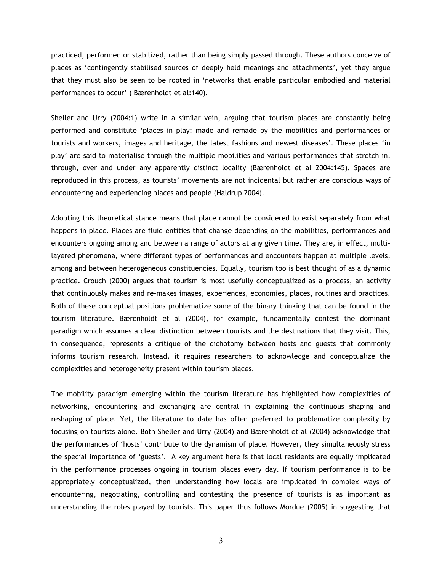practiced, performed or stabilized, rather than being simply passed through. These authors conceive of places as 'contingently stabilised sources of deeply held meanings and attachments', yet they argue that they must also be seen to be rooted in 'networks that enable particular embodied and material performances to occur' ( Bærenholdt et al:140).

Sheller and Urry (2004:1) write in a similar vein, arguing that tourism places are constantly being performed and constitute 'places in play: made and remade by the mobilities and performances of tourists and workers, images and heritage, the latest fashions and newest diseases'. These places 'in play' are said to materialise through the multiple mobilities and various performances that stretch in, through, over and under any apparently distinct locality (Bærenholdt et al 2004:145). Spaces are reproduced in this process, as tourists' movements are not incidental but rather are conscious ways of encountering and experiencing places and people (Haldrup 2004).

Adopting this theoretical stance means that place cannot be considered to exist separately from what happens in place. Places are fluid entities that change depending on the mobilities, performances and encounters ongoing among and between a range of actors at any given time. They are, in effect, multilayered phenomena, where different types of performances and encounters happen at multiple levels, among and between heterogeneous constituencies. Equally, tourism too is best thought of as a dynamic practice. Crouch (2000) argues that tourism is most usefully conceptualized as a process, an activity that continuously makes and re-makes images, experiences, economies, places, routines and practices. Both of these conceptual positions problematize some of the binary thinking that can be found in the tourism literature. Bærenholdt et al (2004), for example, fundamentally contest the dominant paradigm which assumes a clear distinction between tourists and the destinations that they visit. This, in consequence, represents a critique of the dichotomy between hosts and guests that commonly informs tourism research. Instead, it requires researchers to acknowledge and conceptualize the complexities and heterogeneity present within tourism places.

The mobility paradigm emerging within the tourism literature has highlighted how complexities of networking, encountering and exchanging are central in explaining the continuous shaping and reshaping of place. Yet, the literature to date has often preferred to problematize complexity by focusing on tourists alone. Both Sheller and Urry (2004) and Bærenholdt et al (2004) acknowledge that the performances of 'hosts' contribute to the dynamism of place. However, they simultaneously stress the special importance of 'guests'. A key argument here is that local residents are equally implicated in the performance processes ongoing in tourism places every day. If tourism performance is to be appropriately conceptualized, then understanding how locals are implicated in complex ways of encountering, negotiating, controlling and contesting the presence of tourists is as important as understanding the roles played by tourists. This paper thus follows Mordue (2005) in suggesting that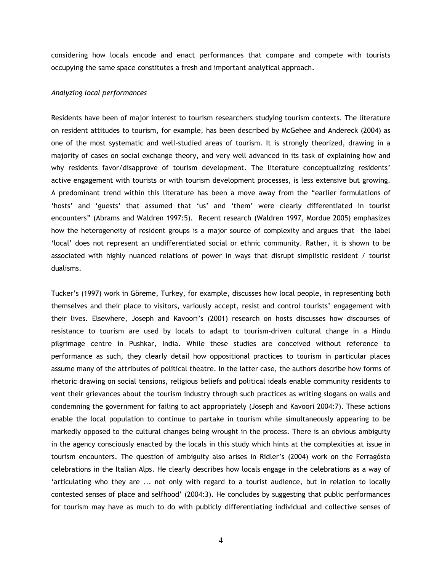considering how locals encode and enact performances that compare and compete with tourists occupying the same space constitutes a fresh and important analytical approach.

#### Analyzing local performances

Residents have been of major interest to tourism researchers studying tourism contexts. The literature on resident attitudes to tourism, for example, has been described by McGehee and Andereck (2004) as one of the most systematic and well-studied areas of tourism. It is strongly theorized, drawing in a majority of cases on social exchange theory, and very well advanced in its task of explaining how and why residents favor/disapprove of tourism development. The literature conceptualizing residents' active engagement with tourists or with tourism development processes, is less extensive but growing. A predominant trend within this literature has been a move away from the "earlier formulations of 'hosts' and 'guests' that assumed that 'us' and 'them' were clearly differentiated in tourist encounters" (Abrams and Waldren 1997:5). Recent research (Waldren 1997, Mordue 2005) emphasizes how the heterogeneity of resident groups is a major source of complexity and argues that the label 'local' does not represent an undifferentiated social or ethnic community. Rather, it is shown to be associated with highly nuanced relations of power in ways that disrupt simplistic resident / tourist dualisms.

Tucker's (1997) work in Göreme, Turkey, for example, discusses how local people, in representing both themselves and their place to visitors, variously accept, resist and control tourists' engagement with their lives. Elsewhere, Joseph and Kavoori's (2001) research on hosts discusses how discourses of resistance to tourism are used by locals to adapt to tourism-driven cultural change in a Hindu pilgrimage centre in Pushkar, India. While these studies are conceived without reference to performance as such, they clearly detail how oppositional practices to tourism in particular places assume many of the attributes of political theatre. In the latter case, the authors describe how forms of rhetoric drawing on social tensions, religious beliefs and political ideals enable community residents to vent their grievances about the tourism industry through such practices as writing slogans on walls and condemning the government for failing to act appropriately (Joseph and Kavoori 2004:7). These actions enable the local population to continue to partake in tourism while simultaneously appearing to be markedly opposed to the cultural changes being wrought in the process. There is an obvious ambiguity in the agency consciously enacted by the locals in this study which hints at the complexities at issue in tourism encounters. The question of ambiguity also arises in Ridler's (2004) work on the Ferragósto celebrations in the Italian Alps. He clearly describes how locals engage in the celebrations as a way of 'articulating who they are ... not only with regard to a tourist audience, but in relation to locally contested senses of place and selfhood' (2004:3). He concludes by suggesting that public performances for tourism may have as much to do with publicly differentiating individual and collective senses of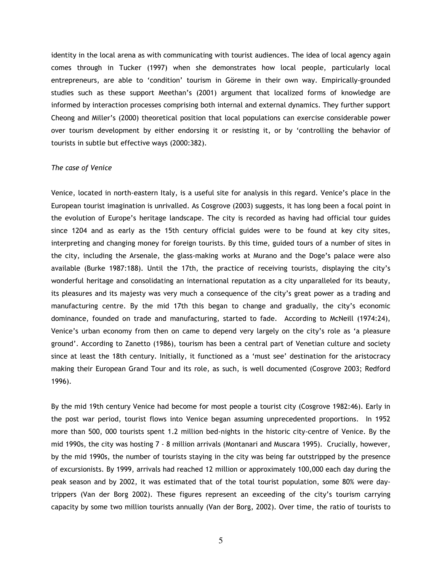identity in the local arena as with communicating with tourist audiences. The idea of local agency again comes through in Tucker (1997) when she demonstrates how local people, particularly local entrepreneurs, are able to 'condition' tourism in Göreme in their own way. Empirically-grounded studies such as these support Meethan's (2001) argument that localized forms of knowledge are informed by interaction processes comprising both internal and external dynamics. They further support Cheong and Miller's (2000) theoretical position that local populations can exercise considerable power over tourism development by either endorsing it or resisting it, or by 'controlling the behavior of tourists in subtle but effective ways (2000:382).

#### The case of Venice

Venice, located in north-eastern Italy, is a useful site for analysis in this regard. Venice's place in the European tourist imagination is unrivalled. As Cosgrove (2003) suggests, it has long been a focal point in the evolution of Europe's heritage landscape. The city is recorded as having had official tour guides since 1204 and as early as the 15th century official guides were to be found at key city sites, interpreting and changing money for foreign tourists. By this time, guided tours of a number of sites in the city, including the Arsenale, the glass-making works at Murano and the Doge's palace were also available (Burke 1987:188). Until the 17th, the practice of receiving tourists, displaying the city's wonderful heritage and consolidating an international reputation as a city unparalleled for its beauty, its pleasures and its majesty was very much a consequence of the city's great power as a trading and manufacturing centre. By the mid 17th this began to change and gradually, the city's economic dominance, founded on trade and manufacturing, started to fade. According to McNeill (1974:24), Venice's urban economy from then on came to depend very largely on the city's role as 'a pleasure ground'. According to Zanetto (1986), tourism has been a central part of Venetian culture and society since at least the 18th century. Initially, it functioned as a 'must see' destination for the aristocracy making their European Grand Tour and its role, as such, is well documented (Cosgrove 2003; Redford 1996).

By the mid 19th century Venice had become for most people a tourist city (Cosgrove 1982:46). Early in the post war period, tourist flows into Venice began assuming unprecedented proportions. In 1952 more than 500, 000 tourists spent 1.2 million bed-nights in the historic city-centre of Venice. By the mid 1990s, the city was hosting 7 - 8 million arrivals (Montanari and Muscara 1995). Crucially, however, by the mid 1990s, the number of tourists staying in the city was being far outstripped by the presence of excursionists. By 1999, arrivals had reached 12 million or approximately 100,000 each day during the peak season and by 2002, it was estimated that of the total tourist population, some 80% were daytrippers (Van der Borg 2002). These figures represent an exceeding of the city's tourism carrying capacity by some two million tourists annually (Van der Borg, 2002). Over time, the ratio of tourists to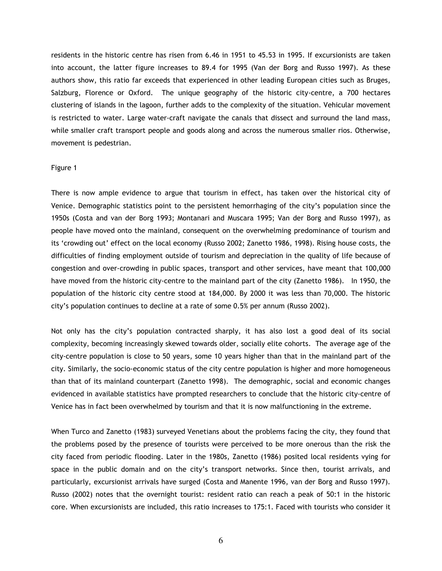residents in the historic centre has risen from 6.46 in 1951 to 45.53 in 1995. If excursionists are taken into account, the latter figure increases to 89.4 for 1995 (Van der Borg and Russo 1997). As these authors show, this ratio far exceeds that experienced in other leading European cities such as Bruges, Salzburg, Florence or Oxford. The unique geography of the historic city-centre, a 700 hectares clustering of islands in the lagoon, further adds to the complexity of the situation. Vehicular movement is restricted to water. Large water-craft navigate the canals that dissect and surround the land mass, while smaller craft transport people and goods along and across the numerous smaller rios. Otherwise, movement is pedestrian.

#### Figure 1

There is now ample evidence to argue that tourism in effect, has taken over the historical city of Venice. Demographic statistics point to the persistent hemorrhaging of the city's population since the 1950s (Costa and van der Borg 1993; Montanari and Muscara 1995; Van der Borg and Russo 1997), as people have moved onto the mainland, consequent on the overwhelming predominance of tourism and its 'crowding out' effect on the local economy (Russo 2002; Zanetto 1986, 1998). Rising house costs, the difficulties of finding employment outside of tourism and depreciation in the quality of life because of congestion and over-crowding in public spaces, transport and other services, have meant that 100,000 have moved from the historic city-centre to the mainland part of the city (Zanetto 1986). In 1950, the population of the historic city centre stood at 184,000. By 2000 it was less than 70,000. The historic city's population continues to decline at a rate of some 0.5% per annum (Russo 2002).

Not only has the city's population contracted sharply, it has also lost a good deal of its social complexity, becoming increasingly skewed towards older, socially elite cohorts. The average age of the city-centre population is close to 50 years, some 10 years higher than that in the mainland part of the city. Similarly, the socio-economic status of the city centre population is higher and more homogeneous than that of its mainland counterpart (Zanetto 1998). The demographic, social and economic changes evidenced in available statistics have prompted researchers to conclude that the historic city-centre of Venice has in fact been overwhelmed by tourism and that it is now malfunctioning in the extreme.

When Turco and Zanetto (1983) surveyed Venetians about the problems facing the city, they found that the problems posed by the presence of tourists were perceived to be more onerous than the risk the city faced from periodic flooding. Later in the 1980s, Zanetto (1986) posited local residents vying for space in the public domain and on the city's transport networks. Since then, tourist arrivals, and particularly, excursionist arrivals have surged (Costa and Manente 1996, van der Borg and Russo 1997). Russo (2002) notes that the overnight tourist: resident ratio can reach a peak of 50:1 in the historic core. When excursionists are included, this ratio increases to 175:1. Faced with tourists who consider it

6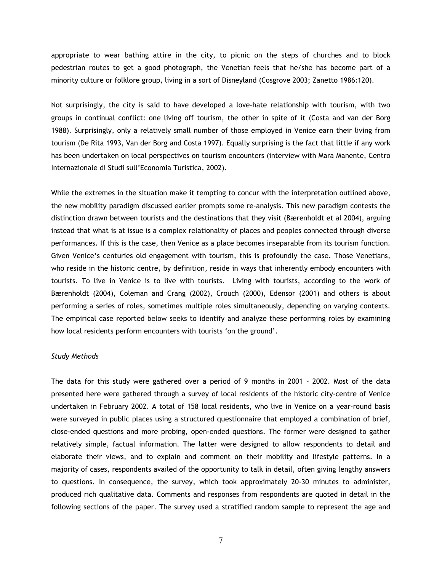appropriate to wear bathing attire in the city, to picnic on the steps of churches and to block pedestrian routes to get a good photograph, the Venetian feels that he/she has become part of a minority culture or folklore group, living in a sort of Disneyland (Cosgrove 2003; Zanetto 1986:120).

Not surprisingly, the city is said to have developed a love-hate relationship with tourism, with two groups in continual conflict: one living off tourism, the other in spite of it (Costa and van der Borg 1988). Surprisingly, only a relatively small number of those employed in Venice earn their living from tourism (De Rita 1993, Van der Borg and Costa 1997). Equally surprising is the fact that little if any work has been undertaken on local perspectives on tourism encounters (interview with Mara Manente, Centro Internazionale di Studi sull'Economia Turistica, 2002).

While the extremes in the situation make it tempting to concur with the interpretation outlined above, the new mobility paradigm discussed earlier prompts some re-analysis. This new paradigm contests the distinction drawn between tourists and the destinations that they visit (Bærenholdt et al 2004), arguing instead that what is at issue is a complex relationality of places and peoples connected through diverse performances. If this is the case, then Venice as a place becomes inseparable from its tourism function. Given Venice's centuries old engagement with tourism, this is profoundly the case. Those Venetians, who reside in the historic centre, by definition, reside in ways that inherently embody encounters with tourists. To live in Venice is to live with tourists. Living with tourists, according to the work of Bærenholdt (2004), Coleman and Crang (2002), Crouch (2000), Edensor (2001) and others is about performing a series of roles, sometimes multiple roles simultaneously, depending on varying contexts. The empirical case reported below seeks to identify and analyze these performing roles by examining how local residents perform encounters with tourists 'on the ground'.

# Study Methods

The data for this study were gathered over a period of 9 months in 2001 – 2002. Most of the data presented here were gathered through a survey of local residents of the historic city-centre of Venice undertaken in February 2002. A total of 158 local residents, who live in Venice on a year-round basis were surveyed in public places using a structured questionnaire that employed a combination of brief, close-ended questions and more probing, open-ended questions. The former were designed to gather relatively simple, factual information. The latter were designed to allow respondents to detail and elaborate their views, and to explain and comment on their mobility and lifestyle patterns. In a majority of cases, respondents availed of the opportunity to talk in detail, often giving lengthy answers to questions. In consequence, the survey, which took approximately 20-30 minutes to administer, produced rich qualitative data. Comments and responses from respondents are quoted in detail in the following sections of the paper. The survey used a stratified random sample to represent the age and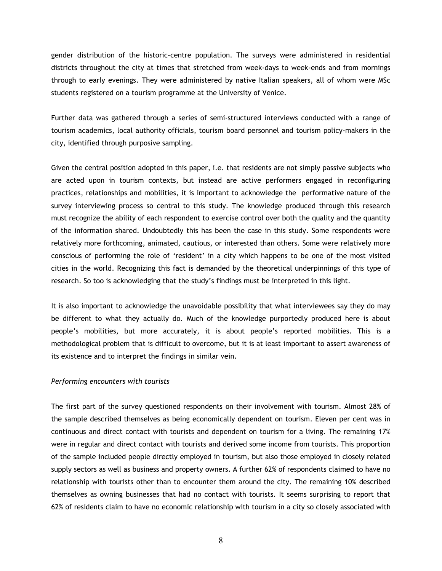gender distribution of the historic-centre population. The surveys were administered in residential districts throughout the city at times that stretched from week-days to week-ends and from mornings through to early evenings. They were administered by native Italian speakers, all of whom were MSc students registered on a tourism programme at the University of Venice.

Further data was gathered through a series of semi-structured interviews conducted with a range of tourism academics, local authority officials, tourism board personnel and tourism policy-makers in the city, identified through purposive sampling.

Given the central position adopted in this paper, i.e. that residents are not simply passive subjects who are acted upon in tourism contexts, but instead are active performers engaged in reconfiguring practices, relationships and mobilities, it is important to acknowledge the performative nature of the survey interviewing process so central to this study. The knowledge produced through this research must recognize the ability of each respondent to exercise control over both the quality and the quantity of the information shared. Undoubtedly this has been the case in this study. Some respondents were relatively more forthcoming, animated, cautious, or interested than others. Some were relatively more conscious of performing the role of 'resident' in a city which happens to be one of the most visited cities in the world. Recognizing this fact is demanded by the theoretical underpinnings of this type of research. So too is acknowledging that the study's findings must be interpreted in this light.

It is also important to acknowledge the unavoidable possibility that what interviewees say they do may be different to what they actually do. Much of the knowledge purportedly produced here is about people's mobilities, but more accurately, it is about people's reported mobilities. This is a methodological problem that is difficult to overcome, but it is at least important to assert awareness of its existence and to interpret the findings in similar vein.

## Performing encounters with tourists

The first part of the survey questioned respondents on their involvement with tourism. Almost 28% of the sample described themselves as being economically dependent on tourism. Eleven per cent was in continuous and direct contact with tourists and dependent on tourism for a living. The remaining 17% were in regular and direct contact with tourists and derived some income from tourists. This proportion of the sample included people directly employed in tourism, but also those employed in closely related supply sectors as well as business and property owners. A further 62% of respondents claimed to have no relationship with tourists other than to encounter them around the city. The remaining 10% described themselves as owning businesses that had no contact with tourists. It seems surprising to report that 62% of residents claim to have no economic relationship with tourism in a city so closely associated with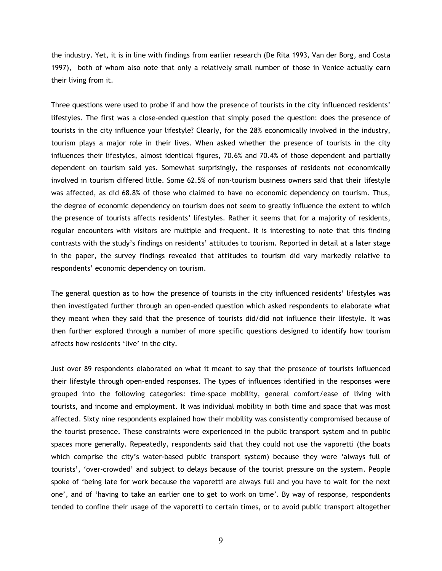the industry. Yet, it is in line with findings from earlier research (De Rita 1993, Van der Borg, and Costa 1997), both of whom also note that only a relatively small number of those in Venice actually earn their living from it.

Three questions were used to probe if and how the presence of tourists in the city influenced residents' lifestyles. The first was a close-ended question that simply posed the question: does the presence of tourists in the city influence your lifestyle? Clearly, for the 28% economically involved in the industry, tourism plays a major role in their lives. When asked whether the presence of tourists in the city influences their lifestyles, almost identical figures, 70.6% and 70.4% of those dependent and partially dependent on tourism said yes. Somewhat surprisingly, the responses of residents not economically involved in tourism differed little. Some 62.5% of non-tourism business owners said that their lifestyle was affected, as did 68.8% of those who claimed to have no economic dependency on tourism. Thus, the degree of economic dependency on tourism does not seem to greatly influence the extent to which the presence of tourists affects residents' lifestyles. Rather it seems that for a majority of residents, regular encounters with visitors are multiple and frequent. It is interesting to note that this finding contrasts with the study's findings on residents' attitudes to tourism. Reported in detail at a later stage in the paper, the survey findings revealed that attitudes to tourism did vary markedly relative to respondents' economic dependency on tourism.

The general question as to how the presence of tourists in the city influenced residents' lifestyles was then investigated further through an open-ended question which asked respondents to elaborate what they meant when they said that the presence of tourists did/did not influence their lifestyle. It was then further explored through a number of more specific questions designed to identify how tourism affects how residents 'live' in the city.

Just over 89 respondents elaborated on what it meant to say that the presence of tourists influenced their lifestyle through open-ended responses. The types of influences identified in the responses were grouped into the following categories: time-space mobility, general comfort/ease of living with tourists, and income and employment. It was individual mobility in both time and space that was most affected. Sixty nine respondents explained how their mobility was consistently compromised because of the tourist presence. These constraints were experienced in the public transport system and in public spaces more generally. Repeatedly, respondents said that they could not use the vaporetti (the boats which comprise the city's water-based public transport system) because they were 'always full of tourists', 'over-crowded' and subject to delays because of the tourist pressure on the system. People spoke of 'being late for work because the vaporetti are always full and you have to wait for the next one', and of 'having to take an earlier one to get to work on time'. By way of response, respondents tended to confine their usage of the vaporetti to certain times, or to avoid public transport altogether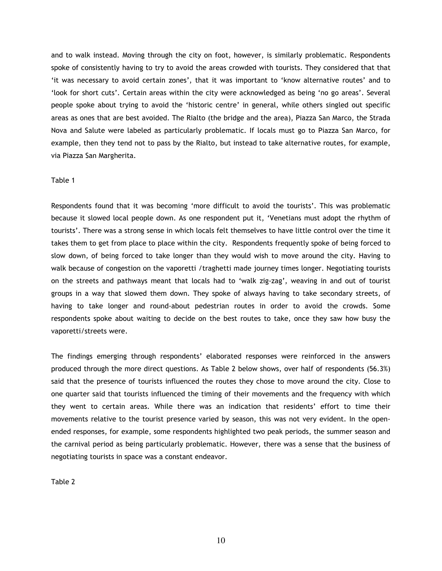and to walk instead. Moving through the city on foot, however, is similarly problematic. Respondents spoke of consistently having to try to avoid the areas crowded with tourists. They considered that that 'it was necessary to avoid certain zones', that it was important to 'know alternative routes' and to 'look for short cuts'. Certain areas within the city were acknowledged as being 'no go areas'. Several people spoke about trying to avoid the 'historic centre' in general, while others singled out specific areas as ones that are best avoided. The Rialto (the bridge and the area), Piazza San Marco, the Strada Nova and Salute were labeled as particularly problematic. If locals must go to Piazza San Marco, for example, then they tend not to pass by the Rialto, but instead to take alternative routes, for example, via Piazza San Margherita.

#### Table 1

Respondents found that it was becoming 'more difficult to avoid the tourists'. This was problematic because it slowed local people down. As one respondent put it, 'Venetians must adopt the rhythm of tourists'. There was a strong sense in which locals felt themselves to have little control over the time it takes them to get from place to place within the city. Respondents frequently spoke of being forced to slow down, of being forced to take longer than they would wish to move around the city. Having to walk because of congestion on the vaporetti /traghetti made journey times longer. Negotiating tourists on the streets and pathways meant that locals had to 'walk zig-zag', weaving in and out of tourist groups in a way that slowed them down. They spoke of always having to take secondary streets, of having to take longer and round-about pedestrian routes in order to avoid the crowds. Some respondents spoke about waiting to decide on the best routes to take, once they saw how busy the vaporetti/streets were.

The findings emerging through respondents' elaborated responses were reinforced in the answers produced through the more direct questions. As Table 2 below shows, over half of respondents (56.3%) said that the presence of tourists influenced the routes they chose to move around the city. Close to one quarter said that tourists influenced the timing of their movements and the frequency with which they went to certain areas. While there was an indication that residents' effort to time their movements relative to the tourist presence varied by season, this was not very evident. In the openended responses, for example, some respondents highlighted two peak periods, the summer season and the carnival period as being particularly problematic. However, there was a sense that the business of negotiating tourists in space was a constant endeavor.

Table 2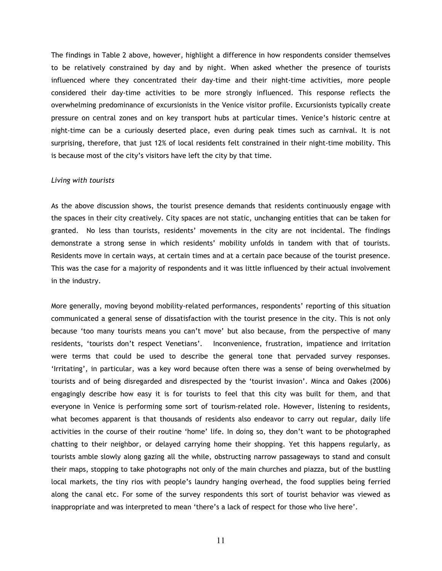The findings in Table 2 above, however, highlight a difference in how respondents consider themselves to be relatively constrained by day and by night. When asked whether the presence of tourists influenced where they concentrated their day-time and their night-time activities, more people considered their day-time activities to be more strongly influenced. This response reflects the overwhelming predominance of excursionists in the Venice visitor profile. Excursionists typically create pressure on central zones and on key transport hubs at particular times. Venice's historic centre at night-time can be a curiously deserted place, even during peak times such as carnival. It is not surprising, therefore, that just 12% of local residents felt constrained in their night-time mobility. This is because most of the city's visitors have left the city by that time.

#### Living with tourists

As the above discussion shows, the tourist presence demands that residents continuously engage with the spaces in their city creatively. City spaces are not static, unchanging entities that can be taken for granted. No less than tourists, residents' movements in the city are not incidental. The findings demonstrate a strong sense in which residents' mobility unfolds in tandem with that of tourists. Residents move in certain ways, at certain times and at a certain pace because of the tourist presence. This was the case for a majority of respondents and it was little influenced by their actual involvement in the industry.

More generally, moving beyond mobility-related performances, respondents' reporting of this situation communicated a general sense of dissatisfaction with the tourist presence in the city. This is not only because 'too many tourists means you can't move' but also because, from the perspective of many residents, 'tourists don't respect Venetians'. Inconvenience, frustration, impatience and irritation were terms that could be used to describe the general tone that pervaded survey responses. 'Irritating', in particular, was a key word because often there was a sense of being overwhelmed by tourists and of being disregarded and disrespected by the 'tourist invasion'. Minca and Oakes (2006) engagingly describe how easy it is for tourists to feel that this city was built for them, and that everyone in Venice is performing some sort of tourism-related role. However, listening to residents, what becomes apparent is that thousands of residents also endeavor to carry out regular, daily life activities in the course of their routine 'home' life. In doing so, they don't want to be photographed chatting to their neighbor, or delayed carrying home their shopping. Yet this happens regularly, as tourists amble slowly along gazing all the while, obstructing narrow passageways to stand and consult their maps, stopping to take photographs not only of the main churches and piazza, but of the bustling local markets, the tiny rios with people's laundry hanging overhead, the food supplies being ferried along the canal etc. For some of the survey respondents this sort of tourist behavior was viewed as inappropriate and was interpreted to mean 'there's a lack of respect for those who live here'.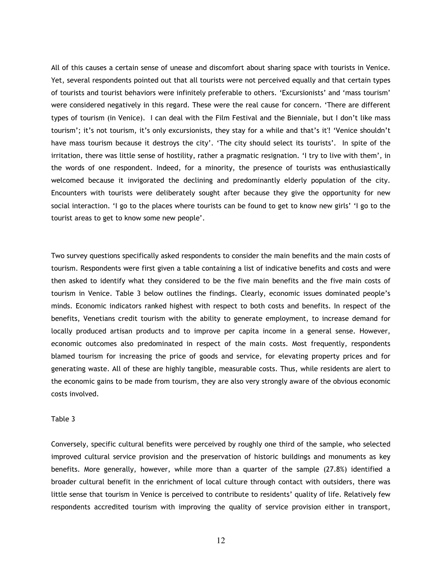All of this causes a certain sense of unease and discomfort about sharing space with tourists in Venice. Yet, several respondents pointed out that all tourists were not perceived equally and that certain types of tourists and tourist behaviors were infinitely preferable to others. 'Excursionists' and 'mass tourism' were considered negatively in this regard. These were the real cause for concern. 'There are different types of tourism (in Venice). I can deal with the Film Festival and the Bienniale, but I don't like mass tourism'; it's not tourism, it's only excursionists, they stay for a while and that's it'! 'Venice shouldn't have mass tourism because it destroys the city'. 'The city should select its tourists'. In spite of the irritation, there was little sense of hostility, rather a pragmatic resignation. 'I try to live with them', in the words of one respondent. Indeed, for a minority, the presence of tourists was enthusiastically welcomed because it invigorated the declining and predominantly elderly population of the city. Encounters with tourists were deliberately sought after because they give the opportunity for new social interaction. 'I go to the places where tourists can be found to get to know new girls' 'I go to the tourist areas to get to know some new people'.

Two survey questions specifically asked respondents to consider the main benefits and the main costs of tourism. Respondents were first given a table containing a list of indicative benefits and costs and were then asked to identify what they considered to be the five main benefits and the five main costs of tourism in Venice. Table 3 below outlines the findings. Clearly, economic issues dominated people's minds. Economic indicators ranked highest with respect to both costs and benefits. In respect of the benefits, Venetians credit tourism with the ability to generate employment, to increase demand for locally produced artisan products and to improve per capita income in a general sense. However, economic outcomes also predominated in respect of the main costs. Most frequently, respondents blamed tourism for increasing the price of goods and service, for elevating property prices and for generating waste. All of these are highly tangible, measurable costs. Thus, while residents are alert to the economic gains to be made from tourism, they are also very strongly aware of the obvious economic costs involved.

#### Table 3

Conversely, specific cultural benefits were perceived by roughly one third of the sample, who selected improved cultural service provision and the preservation of historic buildings and monuments as key benefits. More generally, however, while more than a quarter of the sample (27.8%) identified a broader cultural benefit in the enrichment of local culture through contact with outsiders, there was little sense that tourism in Venice is perceived to contribute to residents' quality of life. Relatively few respondents accredited tourism with improving the quality of service provision either in transport,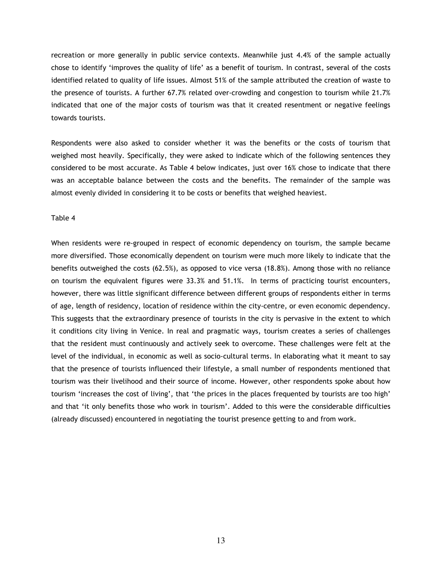recreation or more generally in public service contexts. Meanwhile just 4.4% of the sample actually chose to identify 'improves the quality of life' as a benefit of tourism. In contrast, several of the costs identified related to quality of life issues. Almost 51% of the sample attributed the creation of waste to the presence of tourists. A further 67.7% related over-crowding and congestion to tourism while 21.7% indicated that one of the major costs of tourism was that it created resentment or negative feelings towards tourists.

Respondents were also asked to consider whether it was the benefits or the costs of tourism that weighed most heavily. Specifically, they were asked to indicate which of the following sentences they considered to be most accurate. As Table 4 below indicates, just over 16% chose to indicate that there was an acceptable balance between the costs and the benefits. The remainder of the sample was almost evenly divided in considering it to be costs or benefits that weighed heaviest.

# Table 4

When residents were re-grouped in respect of economic dependency on tourism, the sample became more diversified. Those economically dependent on tourism were much more likely to indicate that the benefits outweighed the costs (62.5%), as opposed to vice versa (18.8%). Among those with no reliance on tourism the equivalent figures were 33.3% and 51.1%. In terms of practicing tourist encounters, however, there was little significant difference between different groups of respondents either in terms of age, length of residency, location of residence within the city-centre, or even economic dependency. This suggests that the extraordinary presence of tourists in the city is pervasive in the extent to which it conditions city living in Venice. In real and pragmatic ways, tourism creates a series of challenges that the resident must continuously and actively seek to overcome. These challenges were felt at the level of the individual, in economic as well as socio-cultural terms. In elaborating what it meant to say that the presence of tourists influenced their lifestyle, a small number of respondents mentioned that tourism was their livelihood and their source of income. However, other respondents spoke about how tourism 'increases the cost of living', that 'the prices in the places frequented by tourists are too high' and that 'it only benefits those who work in tourism'. Added to this were the considerable difficulties (already discussed) encountered in negotiating the tourist presence getting to and from work.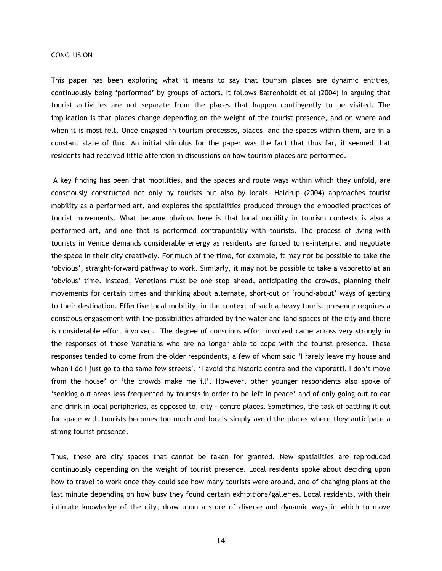#### **CONCLUSION**

This paper has been exploring what it means to say that tourism places are dynamic entities, continuously being 'performed' by groups of actors. It follows Bærenholdt et al (2004) in arguing that tourist activities are not separate from the places that happen contingently to be visited. The implication is that places change depending on the weight of the tourist presence, and on where and when it is most felt. Once engaged in tourism processes, places, and the spaces within them, are in a constant state of flux. An initial stimulus for the paper was the fact that thus far, it seemed that residents had received little attention in discussions on how tourism places are performed.

 A key finding has been that mobilities, and the spaces and route ways within which they unfold, are consciously constructed not only by tourists but also by locals. Haldrup (2004) approaches tourist mobility as a performed art, and explores the spatialities produced through the embodied practices of tourist movements. What became obvious here is that local mobility in tourism contexts is also a performed art, and one that is performed contrapuntally with tourists. The process of living with tourists in Venice demands considerable energy as residents are forced to re-interpret and negotiate the space in their city creatively. For much of the time, for example, it may not be possible to take the 'obvious', straight-forward pathway to work. Similarly, it may not be possible to take a vaporetto at an 'obvious' time. Instead, Venetians must be one step ahead, anticipating the crowds, planning their movements for certain times and thinking about alternate, short-cut or 'round-about' ways of getting to their destination. Effective local mobility, in the context of such a heavy tourist presence requires a conscious engagement with the possibilities afforded by the water and land spaces of the city and there is considerable effort involved. The degree of conscious effort involved came across very strongly in the responses of those Venetians who are no longer able to cope with the tourist presence. These responses tended to come from the older respondents, a few of whom said 'I rarely leave my house and when I do I just go to the same few streets', 'I avoid the historic centre and the vaporetti. I don't move from the house' or 'the crowds make me ill'. However, other younger respondents also spoke of 'seeking out areas less frequented by tourists in order to be left in peace' and of only going out to eat and drink in local peripheries, as opposed to, city - centre places. Sometimes, the task of battling it out for space with tourists becomes too much and locals simply avoid the places where they anticipate a strong tourist presence.

Thus, these are city spaces that cannot be taken for granted. New spatialities are reproduced continuously depending on the weight of tourist presence. Local residents spoke about deciding upon how to travel to work once they could see how many tourists were around, and of changing plans at the last minute depending on how busy they found certain exhibitions/galleries. Local residents, with their intimate knowledge of the city, draw upon a store of diverse and dynamic ways in which to move

14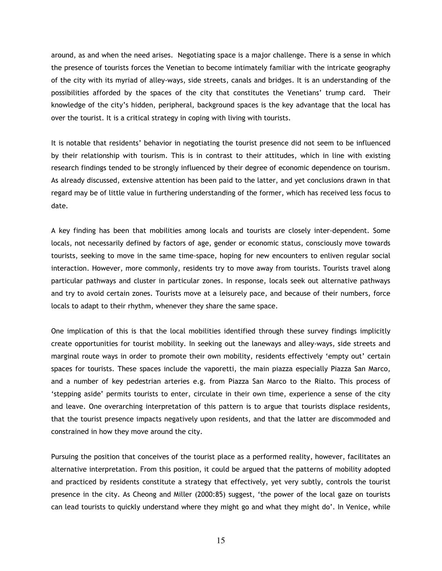around, as and when the need arises. Negotiating space is a major challenge. There is a sense in which the presence of tourists forces the Venetian to become intimately familiar with the intricate geography of the city with its myriad of alley-ways, side streets, canals and bridges. It is an understanding of the possibilities afforded by the spaces of the city that constitutes the Venetians' trump card. Their knowledge of the city's hidden, peripheral, background spaces is the key advantage that the local has over the tourist. It is a critical strategy in coping with living with tourists.

It is notable that residents' behavior in negotiating the tourist presence did not seem to be influenced by their relationship with tourism. This is in contrast to their attitudes, which in line with existing research findings tended to be strongly influenced by their degree of economic dependence on tourism. As already discussed, extensive attention has been paid to the latter, and yet conclusions drawn in that regard may be of little value in furthering understanding of the former, which has received less focus to date.

A key finding has been that mobilities among locals and tourists are closely inter-dependent. Some locals, not necessarily defined by factors of age, gender or economic status, consciously move towards tourists, seeking to move in the same time-space, hoping for new encounters to enliven regular social interaction. However, more commonly, residents try to move away from tourists. Tourists travel along particular pathways and cluster in particular zones. In response, locals seek out alternative pathways and try to avoid certain zones. Tourists move at a leisurely pace, and because of their numbers, force locals to adapt to their rhythm, whenever they share the same space.

One implication of this is that the local mobilities identified through these survey findings implicitly create opportunities for tourist mobility. In seeking out the laneways and alley-ways, side streets and marginal route ways in order to promote their own mobility, residents effectively 'empty out' certain spaces for tourists. These spaces include the vaporetti, the main piazza especially Piazza San Marco, and a number of key pedestrian arteries e.g. from Piazza San Marco to the Rialto. This process of 'stepping aside' permits tourists to enter, circulate in their own time, experience a sense of the city and leave. One overarching interpretation of this pattern is to argue that tourists displace residents, that the tourist presence impacts negatively upon residents, and that the latter are discommoded and constrained in how they move around the city.

Pursuing the position that conceives of the tourist place as a performed reality, however, facilitates an alternative interpretation. From this position, it could be argued that the patterns of mobility adopted and practiced by residents constitute a strategy that effectively, yet very subtly, controls the tourist presence in the city. As Cheong and Miller (2000:85) suggest, 'the power of the local gaze on tourists can lead tourists to quickly understand where they might go and what they might do'. In Venice, while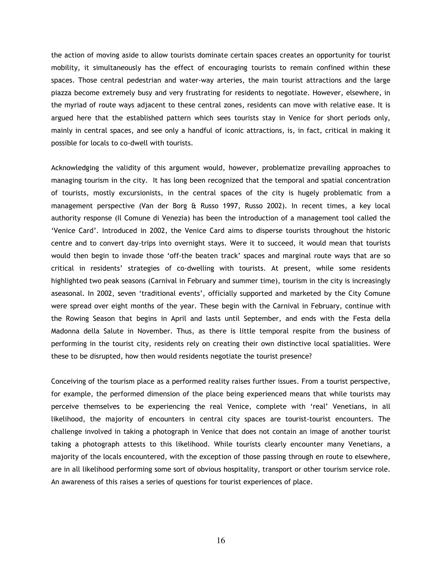the action of moving aside to allow tourists dominate certain spaces creates an opportunity for tourist mobility, it simultaneously has the effect of encouraging tourists to remain confined within these spaces. Those central pedestrian and water-way arteries, the main tourist attractions and the large piazza become extremely busy and very frustrating for residents to negotiate. However, elsewhere, in the myriad of route ways adjacent to these central zones, residents can move with relative ease. It is argued here that the established pattern which sees tourists stay in Venice for short periods only, mainly in central spaces, and see only a handful of iconic attractions, is, in fact, critical in making it possible for locals to co-dwell with tourists.

Acknowledging the validity of this argument would, however, problematize prevailing approaches to managing tourism in the city. It has long been recognized that the temporal and spatial concentration of tourists, mostly excursionists, in the central spaces of the city is hugely problematic from a management perspective (Van der Borg & Russo 1997, Russo 2002). In recent times, a key local authority response (Il Comune di Venezia) has been the introduction of a management tool called the 'Venice Card'. Introduced in 2002, the Venice Card aims to disperse tourists throughout the historic centre and to convert day-trips into overnight stays. Were it to succeed, it would mean that tourists would then begin to invade those 'off-the beaten track' spaces and marginal route ways that are so critical in residents' strategies of co-dwelling with tourists. At present, while some residents highlighted two peak seasons (Carnival in February and summer time), tourism in the city is increasingly aseasonal. In 2002, seven 'traditional events', officially supported and marketed by the City Comune were spread over eight months of the year. These begin with the Carnival in February, continue with the Rowing Season that begins in April and lasts until September, and ends with the Festa della Madonna della Salute in November. Thus, as there is little temporal respite from the business of performing in the tourist city, residents rely on creating their own distinctive local spatialities. Were these to be disrupted, how then would residents negotiate the tourist presence?

Conceiving of the tourism place as a performed reality raises further issues. From a tourist perspective, for example, the performed dimension of the place being experienced means that while tourists may perceive themselves to be experiencing the real Venice, complete with 'real' Venetians, in all likelihood, the majority of encounters in central city spaces are tourist-tourist encounters. The challenge involved in taking a photograph in Venice that does not contain an image of another tourist taking a photograph attests to this likelihood. While tourists clearly encounter many Venetians, a majority of the locals encountered, with the exception of those passing through en route to elsewhere, are in all likelihood performing some sort of obvious hospitality, transport or other tourism service role. An awareness of this raises a series of questions for tourist experiences of place.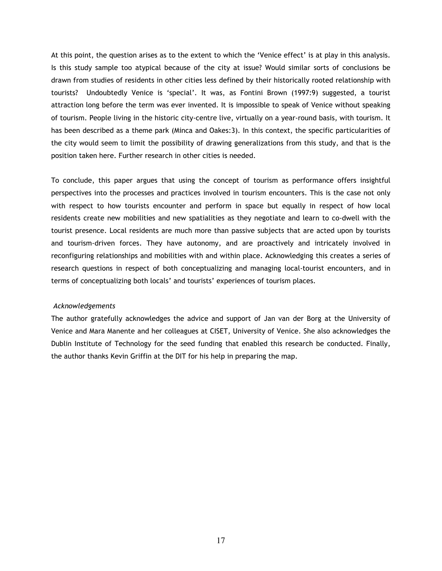At this point, the question arises as to the extent to which the 'Venice effect' is at play in this analysis. Is this study sample too atypical because of the city at issue? Would similar sorts of conclusions be drawn from studies of residents in other cities less defined by their historically rooted relationship with tourists? Undoubtedly Venice is 'special'. It was, as Fontini Brown (1997:9) suggested, a tourist attraction long before the term was ever invented. It is impossible to speak of Venice without speaking of tourism. People living in the historic city-centre live, virtually on a year-round basis, with tourism. It has been described as a theme park (Minca and Oakes:3). In this context, the specific particularities of the city would seem to limit the possibility of drawing generalizations from this study, and that is the position taken here. Further research in other cities is needed.

To conclude, this paper argues that using the concept of tourism as performance offers insightful perspectives into the processes and practices involved in tourism encounters. This is the case not only with respect to how tourists encounter and perform in space but equally in respect of how local residents create new mobilities and new spatialities as they negotiate and learn to co-dwell with the tourist presence. Local residents are much more than passive subjects that are acted upon by tourists and tourism-driven forces. They have autonomy, and are proactively and intricately involved in reconfiguring relationships and mobilities with and within place. Acknowledging this creates a series of research questions in respect of both conceptualizing and managing local-tourist encounters, and in terms of conceptualizing both locals' and tourists' experiences of tourism places.

## Acknowledgements

The author gratefully acknowledges the advice and support of Jan van der Borg at the University of Venice and Mara Manente and her colleagues at CISET, University of Venice. She also acknowledges the Dublin Institute of Technology for the seed funding that enabled this research be conducted. Finally, the author thanks Kevin Griffin at the DIT for his help in preparing the map.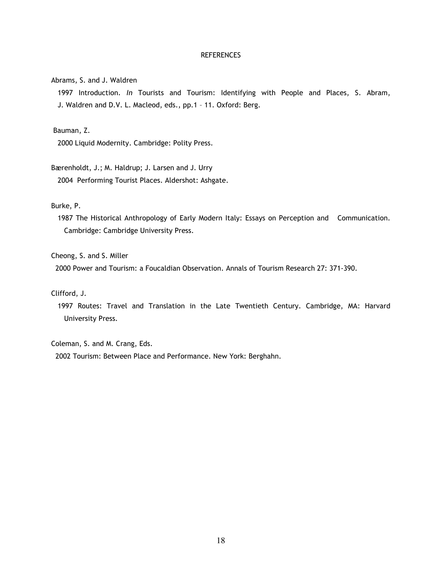#### **REFERENCES**

Abrams, S. and J. Waldren

1997 Introduction. In Tourists and Tourism: Identifying with People and Places, S. Abram, J. Waldren and D.V. L. Macleod, eds., pp.1 – 11. Oxford: Berg.

Bauman, Z.

2000 Liquid Modernity. Cambridge: Polity Press.

Bærenholdt, J.; M. Haldrup; J. Larsen and J. Urry

2004 Performing Tourist Places. Aldershot: Ashgate.

Burke, P.

 1987 The Historical Anthropology of Early Modern Italy: Essays on Perception and Communication. Cambridge: Cambridge University Press.

Cheong, S. and S. Miller

2000 Power and Tourism: a Foucaldian Observation. Annals of Tourism Research 27: 371-390.

Clifford, J.

1997 Routes: Travel and Translation in the Late Twentieth Century. Cambridge, MA: Harvard University Press.

Coleman, S. and M. Crang, Eds.

2002 Tourism: Between Place and Performance. New York: Berghahn.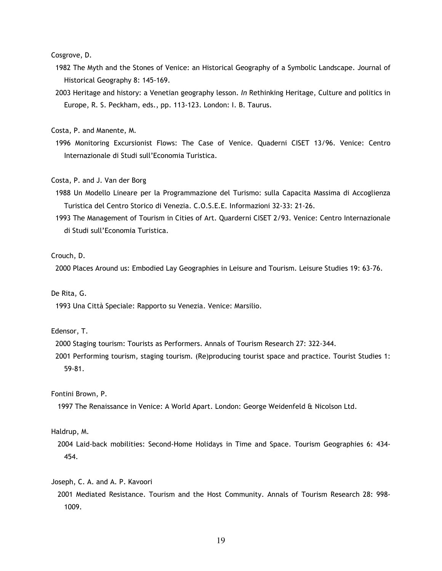Cosgrove, D.

- 1982 The Myth and the Stones of Venice: an Historical Geography of a Symbolic Landscape. Journal of Historical Geography 8: 145-169.
- 2003 Heritage and history: a Venetian geography lesson. In Rethinking Heritage, Culture and politics in Europe, R. S. Peckham, eds., pp. 113-123. London: I. B. Taurus.

Costa, P. and Manente, M.

 1996 Monitoring Excursionist Flows: The Case of Venice. Quaderni CISET 13/96. Venice: Centro Internazionale di Studi sull'Economia Turistica.

Costa, P. and J. Van der Borg

- 1988 Un Modello Lineare per la Programmazione del Turismo: sulla Capacita Massima di Accoglienza Turistica del Centro Storico di Venezia. C.O.S.E.E. Informazioni 32-33: 21-26.
- 1993 The Management of Tourism in Cities of Art. Quarderni CISET 2/93. Venice: Centro Internazionale di Studi sull'Economia Turistica.

# Crouch, D.

2000 Places Around us: Embodied Lay Geographies in Leisure and Tourism. Leisure Studies 19: 63-76.

# De Rita, G.

1993 Una Città Speciale: Rapporto su Venezia. Venice: Marsilio.

# Edensor, T.

- 2000 Staging tourism: Tourists as Performers. Annals of Tourism Research 27: 322-344.
- 2001 Performing tourism, staging tourism. (Re)producing tourist space and practice. Tourist Studies 1: 59-81.

#### Fontini Brown, P.

1997 The Renaissance in Venice: A World Apart. London: George Weidenfeld & Nicolson Ltd.

# Haldrup, M.

 2004 Laid-back mobilities: Second-Home Holidays in Time and Space. Tourism Geographies 6: 434- 454.

#### Joseph, C. A. and A. P. Kavoori

 2001 Mediated Resistance. Tourism and the Host Community. Annals of Tourism Research 28: 998- 1009.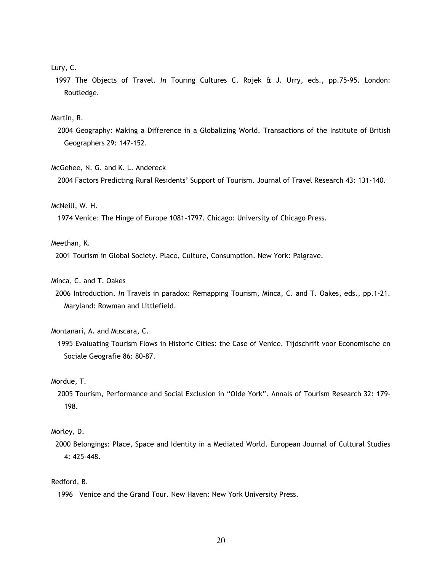# Lury, C.

 1997 The Objects of Travel. In Touring Cultures C. Rojek & J. Urry, eds., pp.75-95. London: Routledge.

## Martin, R.

 2004 Geography: Making a Difference in a Globalizing World. Transactions of the Institute of British Geographers 29: 147-152.

#### McGehee, N. G. and K. L. Andereck

2004 Factors Predicting Rural Residents' Support of Tourism. Journal of Travel Research 43: 131-140.

#### McNeill, W. H.

1974 Venice: The Hinge of Europe 1081-1797. Chicago: University of Chicago Press.

# Meethan, K.

2001 Tourism in Global Society. Place, Culture, Consumption. New York: Palgrave.

## Minca, C. and T. Oakes

 2006 Introduction. In Travels in paradox: Remapping Tourism, Minca, C. and T. Oakes, eds., pp.1-21. Maryland: Rowman and Littlefield.

# Montanari, A. and Muscara, C.

 1995 Evaluating Tourism Flows in Historic Cities: the Case of Venice. Tijdschrift voor Economische en Sociale Geografie 86: 80-87.

#### Mordue, T.

 2005 Tourism, Performance and Social Exclusion in "Olde York". Annals of Tourism Research 32: 179- 198.

# Morley, D.

 2000 Belongings: Place, Space and Identity in a Mediated World. European Journal of Cultural Studies 4: 425-448.

# Redford, B.

1996 Venice and the Grand Tour. New Haven: New York University Press.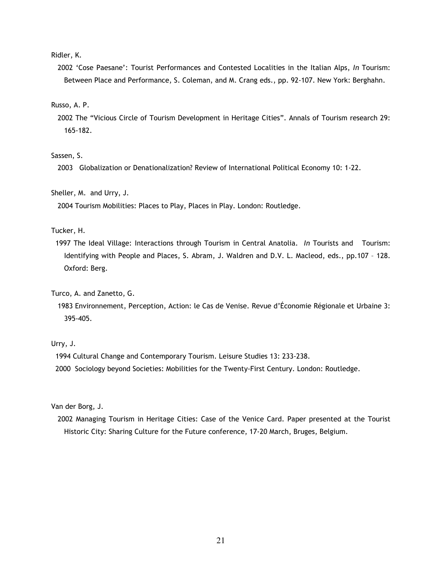Ridler, K.

2002 'Cose Paesane': Tourist Performances and Contested Localities in the Italian Alps, In Tourism: Between Place and Performance, S. Coleman, and M. Crang eds., pp. 92-107. New York: Berghahn.

Russo, A. P.

 2002 The "Vicious Circle of Tourism Development in Heritage Cities". Annals of Tourism research 29: 165-182.

Sassen, S.

2003 Globalization or Denationalization? Review of International Political Economy 10: 1-22.

Sheller, M. and Urry, J.

2004 Tourism Mobilities: Places to Play, Places in Play. London: Routledge.

Tucker, H.

1997 The Ideal Village: Interactions through Tourism in Central Anatolia. In Tourists and Tourism: Identifying with People and Places, S. Abram, J. Waldren and D.V. L. Macleod, eds., pp.107 – 128. Oxford: Berg.

Turco, A. and Zanetto, G.

 1983 Environnement, Perception, Action: le Cas de Venise. Revue d'Économie Régionale et Urbaine 3: 395-405.

Urry, J.

1994 Cultural Change and Contemporary Tourism. Leisure Studies 13: 233-238.

2000 Sociology beyond Societies: Mobilities for the Twenty-First Century. London: Routledge.

Van der Borg, J.

 2002 Managing Tourism in Heritage Cities: Case of the Venice Card. Paper presented at the Tourist Historic City: Sharing Culture for the Future conference, 17-20 March, Bruges, Belgium.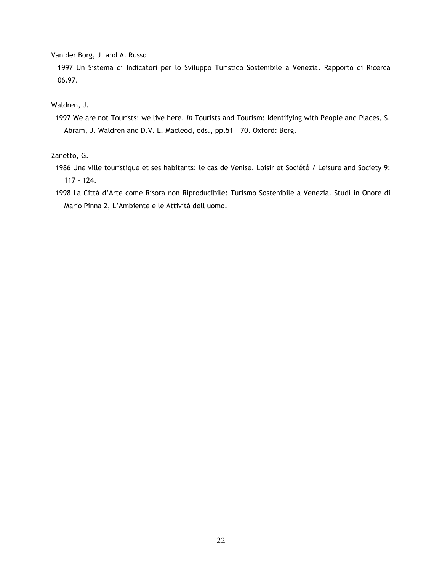Van der Borg, J. and A. Russo

 1997 Un Sistema di Indicatori per lo Sviluppo Turistico Sostenibile a Venezia. Rapporto di Ricerca 06.97.

Waldren, J.

 1997 We are not Tourists: we live here. In Tourists and Tourism: Identifying with People and Places, S. Abram, J. Waldren and D.V. L. Macleod, eds., pp.51 – 70. Oxford: Berg.

Zanetto, G.

- 1986 Une ville touristique et ses habitants: le cas de Venise. Loisir et Société / Leisure and Society 9: 117 – 124.
- 1998 La Città d'Arte come Risora non Riproducibile: Turismo Sostenibile a Venezia. Studi in Onore di Mario Pinna 2, L'Ambiente e le Attività dell uomo.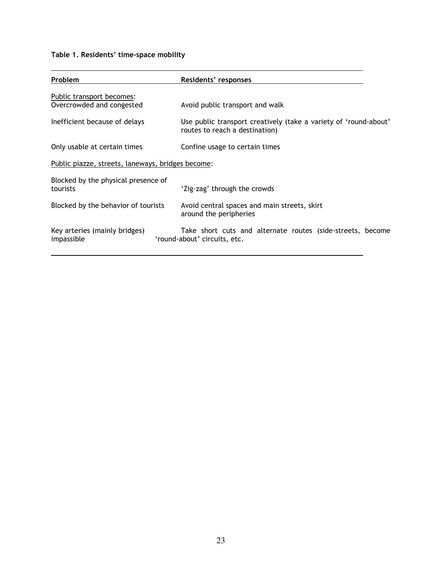# Table 1. Residents' time-space mobility

| Problem                                                | Residents' responses                                                                               |  |  |
|--------------------------------------------------------|----------------------------------------------------------------------------------------------------|--|--|
| Public transport becomes:<br>Overcrowded and congested | Avoid public transport and walk                                                                    |  |  |
| Inefficient because of delays                          | Use public transport creatively (take a variety of 'round-about'<br>routes to reach a destination) |  |  |
| Only usable at certain times                           | Confine usage to certain times                                                                     |  |  |
| Public piazze, streets, laneways, bridges become:      |                                                                                                    |  |  |
| Blocked by the physical presence of<br>tourists        | 'Zig-zag' through the crowds                                                                       |  |  |
| Blocked by the behavior of tourists                    | Avoid central spaces and main streets, skirt<br>around the peripheries                             |  |  |
| Key arteries (mainly bridges)<br>impassible            | Take short cuts and alternate routes (side-streets, become<br>'round-about' circuits, etc.         |  |  |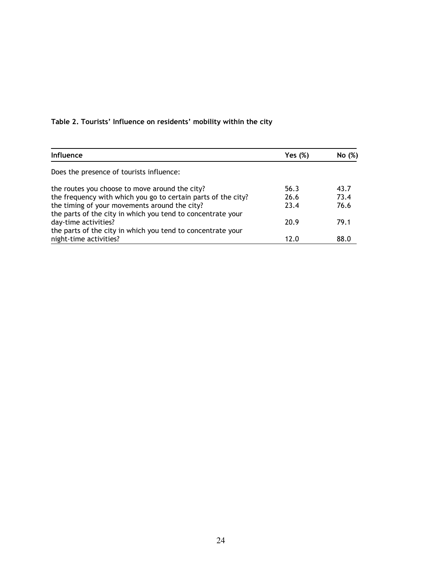# Table 2. Tourists' Influence on residents' mobility within the city

| Influence                                                     | Yes (%) | No(%) |
|---------------------------------------------------------------|---------|-------|
| Does the presence of tourists influence:                      |         |       |
| the routes you choose to move around the city?                | 56.3    | 43.7  |
| the frequency with which you go to certain parts of the city? | 26.6    | 73.4  |
| the timing of your movements around the city?                 | 23.4    | 76.6  |
| the parts of the city in which you tend to concentrate your   |         |       |
| day-time activities?                                          | 20.9    | 79.1  |
| the parts of the city in which you tend to concentrate your   |         |       |
| night-time activities?                                        | 12.0    | 88.0  |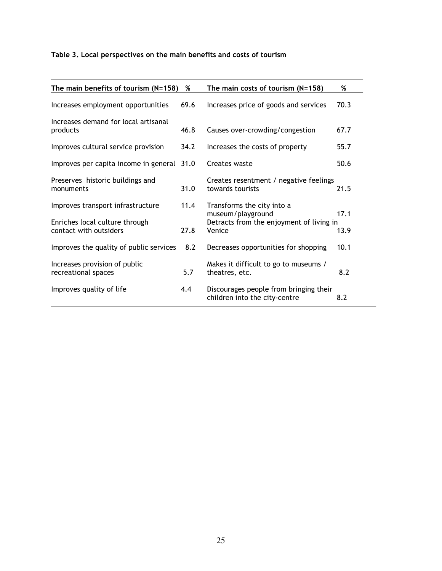# Table 3. Local perspectives on the main benefits and costs of tourism

| The main benefits of tourism $(N=158)$                                                        | %            | The main costs of tourism $(N=158)$                                                                   | %            |
|-----------------------------------------------------------------------------------------------|--------------|-------------------------------------------------------------------------------------------------------|--------------|
| Increases employment opportunities                                                            | 69.6         | Increases price of goods and services                                                                 | 70.3         |
| Increases demand for local artisanal<br>products                                              | 46.8         | Causes over-crowding/congestion                                                                       | 67.7         |
| Improves cultural service provision                                                           | 34.2         | Increases the costs of property                                                                       | 55.7         |
| Improves per capita income in general 31.0                                                    |              | Creates waste                                                                                         | 50.6         |
| Preserves historic buildings and<br>monuments                                                 | 31.0         | Creates resentment / negative feelings<br>towards tourists                                            | 21.5         |
| Improves transport infrastructure<br>Enriches local culture through<br>contact with outsiders | 11.4<br>27.8 | Transforms the city into a<br>museum/playground<br>Detracts from the enjoyment of living in<br>Venice | 17.1<br>13.9 |
| Improves the quality of public services                                                       | 8.2          | Decreases opportunities for shopping                                                                  | 10.1         |
| Increases provision of public<br>recreational spaces                                          | 5.7          | Makes it difficult to go to museums /<br>theatres, etc.                                               | 8.2          |
| Improves quality of life                                                                      | 4.4          | Discourages people from bringing their<br>children into the city-centre                               | 8.2          |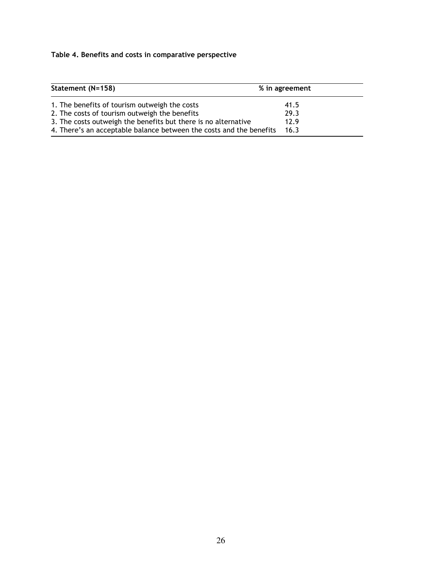# Table 4. Benefits and costs in comparative perspective

| Statement (N=158)                                                   | % in agreement |
|---------------------------------------------------------------------|----------------|
| 1. The benefits of tourism outweigh the costs                       | 41.5           |
| 2. The costs of tourism outweigh the benefits                       | 29.3           |
| 3. The costs outweigh the benefits but there is no alternative      | 12.9           |
| 4. There's an acceptable balance between the costs and the benefits | 16.3           |